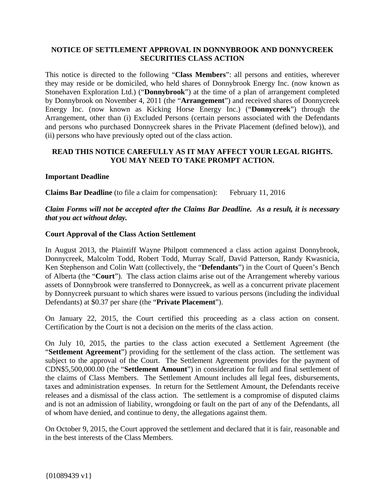## **NOTICE OF SETTLEMENT APPROVAL IN DONNYBROOK AND DONNYCREEK SECURITIES CLASS ACTION**

This notice is directed to the following "**Class Members**": all persons and entities, wherever they may reside or be domiciled, who held shares of Donnybrook Energy Inc. (now known as Stonehaven Exploration Ltd.) ("**Donnybrook**") at the time of a plan of arrangement completed by Donnybrook on November 4, 2011 (the "**Arrangement**") and received shares of Donnycreek Energy Inc. (now known as Kicking Horse Energy Inc.) ("**Donnycreek**") through the Arrangement, other than (i) Excluded Persons (certain persons associated with the Defendants and persons who purchased Donnycreek shares in the Private Placement (defined below)), and (ii) persons who have previously opted out of the class action.

## **READ THIS NOTICE CAREFULLY AS IT MAY AFFECT YOUR LEGAL RIGHTS. YOU MAY NEED TO TAKE PROMPT ACTION.**

#### **Important Deadline**

**Claims Bar Deadline** (to file a claim for compensation): February 11, 2016

## *Claim Forms will not be accepted after the Claims Bar Deadline. As a result, it is necessary that you act without delay.*

### **Court Approval of the Class Action Settlement**

In August 2013, the Plaintiff Wayne Philpott commenced a class action against Donnybrook, Donnycreek, Malcolm Todd, Robert Todd, Murray Scalf, David Patterson, Randy Kwasnicia, Ken Stephenson and Colin Watt (collectively, the "**Defendants**") in the Court of Queen's Bench of Alberta (the "**Court**"). The class action claims arise out of the Arrangement whereby various assets of Donnybrook were transferred to Donnycreek, as well as a concurrent private placement by Donnycreek pursuant to which shares were issued to various persons (including the individual Defendants) at \$0.37 per share (the "**Private Placement**").

On January 22, 2015, the Court certified this proceeding as a class action on consent. Certification by the Court is not a decision on the merits of the class action.

On July 10, 2015, the parties to the class action executed a Settlement Agreement (the "**Settlement Agreement**") providing for the settlement of the class action. The settlement was subject to the approval of the Court. The Settlement Agreement provides for the payment of CDN\$5,500,000.00 (the "**Settlement Amount**") in consideration for full and final settlement of the claims of Class Members. The Settlement Amount includes all legal fees, disbursements, taxes and administration expenses. In return for the Settlement Amount, the Defendants receive releases and a dismissal of the class action. The settlement is a compromise of disputed claims and is not an admission of liability, wrongdoing or fault on the part of any of the Defendants, all of whom have denied, and continue to deny, the allegations against them.

On October 9, 2015, the Court approved the settlement and declared that it is fair, reasonable and in the best interests of the Class Members.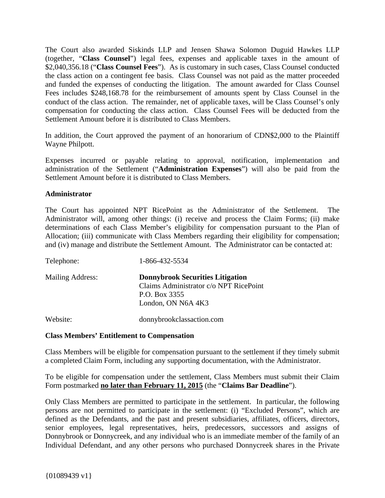The Court also awarded Siskinds LLP and Jensen Shawa Solomon Duguid Hawkes LLP (together, "**Class Counsel**") legal fees, expenses and applicable taxes in the amount of \$2,040,356.18 ("**Class Counsel Fees**"). As is customary in such cases, Class Counsel conducted the class action on a contingent fee basis. Class Counsel was not paid as the matter proceeded and funded the expenses of conducting the litigation. The amount awarded for Class Counsel Fees includes \$248,168.78 for the reimbursement of amounts spent by Class Counsel in the conduct of the class action. The remainder, net of applicable taxes, will be Class Counsel's only compensation for conducting the class action. Class Counsel Fees will be deducted from the Settlement Amount before it is distributed to Class Members.

In addition, the Court approved the payment of an honorarium of CDN\$2,000 to the Plaintiff Wayne Philpott.

Expenses incurred or payable relating to approval, notification, implementation and administration of the Settlement ("**Administration Expenses**") will also be paid from the Settlement Amount before it is distributed to Class Members.

### **Administrator**

The Court has appointed NPT RicePoint as the Administrator of the Settlement. The Administrator will, among other things: (i) receive and process the Claim Forms; (ii) make determinations of each Class Member's eligibility for compensation pursuant to the Plan of Allocation; (iii) communicate with Class Members regarding their eligibility for compensation; and (iv) manage and distribute the Settlement Amount. The Administrator can be contacted at:

| Telephone:              | 1-866-432-5534                                                                                                           |
|-------------------------|--------------------------------------------------------------------------------------------------------------------------|
| <b>Mailing Address:</b> | <b>Donnybrook Securities Litigation</b><br>Claims Administrator c/o NPT RicePoint<br>P.O. Box 3355<br>London, ON N6A 4K3 |
| Website:                | donnybrookclassaction.com                                                                                                |

### **Class Members' Entitlement to Compensation**

Class Members will be eligible for compensation pursuant to the settlement if they timely submit a completed Claim Form, including any supporting documentation, with the Administrator.

To be eligible for compensation under the settlement, Class Members must submit their Claim Form postmarked **no later than February 11, 2015** (the "**Claims Bar Deadline**").

Only Class Members are permitted to participate in the settlement. In particular, the following persons are not permitted to participate in the settlement: (i) "Excluded Persons", which are defined as the Defendants, and the past and present subsidiaries, affiliates, officers, directors, senior employees, legal representatives, heirs, predecessors, successors and assigns of Donnybrook or Donnycreek, and any individual who is an immediate member of the family of an Individual Defendant, and any other persons who purchased Donnycreek shares in the Private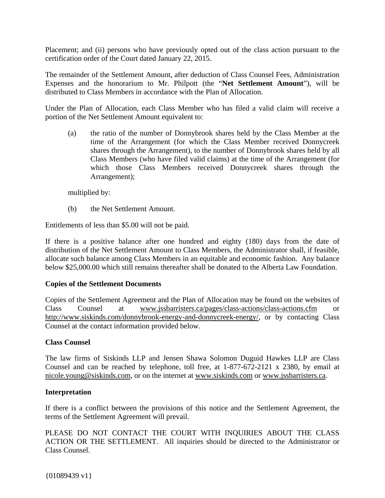Placement; and (ii) persons who have previously opted out of the class action pursuant to the certification order of the Court dated January 22, 2015.

The remainder of the Settlement Amount, after deduction of Class Counsel Fees, Administration Expenses and the honorarium to Mr. Philpott (the "**Net Settlement Amount**"), will be distributed to Class Members in accordance with the Plan of Allocation.

Under the Plan of Allocation, each Class Member who has filed a valid claim will receive a portion of the Net Settlement Amount equivalent to:

(a) the ratio of the number of Donnybrook shares held by the Class Member at the time of the Arrangement (for which the Class Member received Donnycreek shares through the Arrangement), to the number of Donnybrook shares held by all Class Members (who have filed valid claims) at the time of the Arrangement (for which those Class Members received Donnycreek shares through the Arrangement);

multiplied by:

(b) the Net Settlement Amount.

Entitlements of less than \$5.00 will not be paid.

If there is a positive balance after one hundred and eighty (180) days from the date of distribution of the Net Settlement Amount to Class Members, the Administrator shall, if feasible, allocate such balance among Class Members in an equitable and economic fashion. Any balance below \$25,000.00 which still remains thereafter shall be donated to the Alberta Law Foundation.

### **Copies of the Settlement Documents**

Copies of the Settlement Agreement and the Plan of Allocation may be found on the websites of Class Counsel at www.jssbarristers.ca/pages/class-actions/class-actions.cfm or http://www.siskinds.com/donnybrook-energy-and-donnycreek-energy/, or by contacting Class Counsel at the contact information provided below.

### **Class Counsel**

The law firms of Siskinds LLP and Jensen Shawa Solomon Duguid Hawkes LLP are Class Counsel and can be reached by telephone, toll free, at 1-877-672-2121 x 2380, by email at nicole.young@siskinds.com, or on the internet at www.siskinds.com or www.jssbarristers.ca.

### **Interpretation**

If there is a conflict between the provisions of this notice and the Settlement Agreement, the terms of the Settlement Agreement will prevail.

PLEASE DO NOT CONTACT THE COURT WITH INQUIRIES ABOUT THE CLASS ACTION OR THE SETTLEMENT. All inquiries should be directed to the Administrator or Class Counsel.